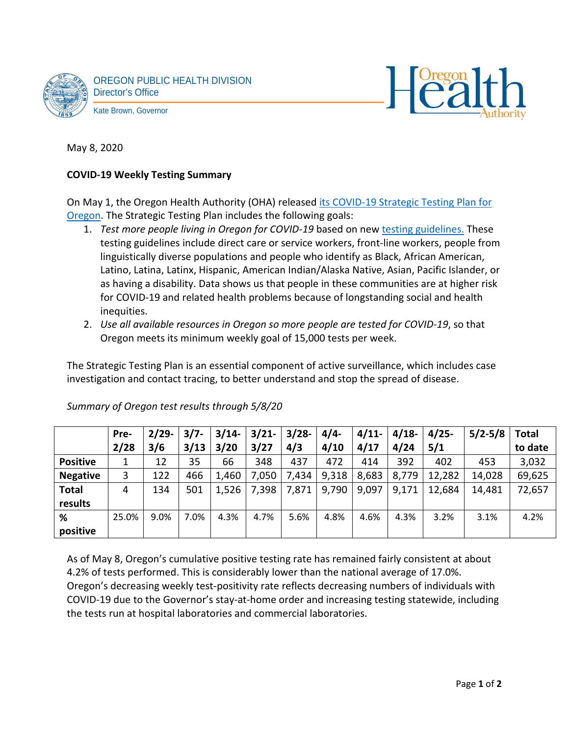



May 8, 2020

# **COVID-19 Weekly Testing Summary**

On May 1, the Oregon Health Authority (OHA) released [its COVID-19 Strategic Testing Plan for](https://sharedsystems.dhsoha.state.or.us/DHSForms/Served/le2346.pdf)  [Oregon.](https://sharedsystems.dhsoha.state.or.us/DHSForms/Served/le2346.pdf) The Strategic Testing Plan includes the following goals:

- 1. *Test more people living in Oregon for COVID-19* based on new [testing guidelines.](https://sharedsystems.dhsoha.state.or.us/DHSForms/Served/le2267.pdf) These testing guidelines include direct care or service workers, front-line workers, people from linguistically diverse populations and people who identify as Black, African American, Latino, Latina, Latinx, Hispanic, American Indian/Alaska Native, Asian, Pacific Islander, or as having a disability. Data shows us that people in these communities are at higher risk for COVID-19 and related health problems because of longstanding social and health inequities.
- 2. *Use all available resources in Oregon so more people are tested for COVID-19*, so that Oregon meets its minimum weekly goal of 15,000 tests per week.

The Strategic Testing Plan is an essential component of active surveillance, which includes case investigation and contact tracing, to better understand and stop the spread of disease.

|                 | Pre-  | $2/29-$ | $3/7 -$ | $3/14-$ | 3/21  | $3/28 -$ | $4/4-$ | 4/11  | $4/18-$ | $4/25 -$ | $5/2 - 5/8$ | <b>Total</b> |
|-----------------|-------|---------|---------|---------|-------|----------|--------|-------|---------|----------|-------------|--------------|
|                 | 2/28  | 3/6     | 3/13    | 3/20    | 3/27  | 4/3      | 4/10   | 4/17  | 4/24    | 5/1      |             | to date      |
| <b>Positive</b> |       | 12      | 35      | 66      | 348   | 437      | 472    | 414   | 392     | 402      | 453         | 3,032        |
| <b>Negative</b> | 3     | 122     | 466     | 1,460   | 7,050 | 7,434    | 9,318  | 8,683 | 8,779   | 12,282   | 14,028      | 69,625       |
| <b>Total</b>    | 4     | 134     | 501     | 1,526   | 7,398 | 7,871    | 9,790  | 9,097 | 9,171   | 12,684   | 14,481      | 72,657       |
| results         |       |         |         |         |       |          |        |       |         |          |             |              |
| %               | 25.0% | 9.0%    | 7.0%    | 4.3%    | 4.7%  | 5.6%     | 4.8%   | 4.6%  | 4.3%    | 3.2%     | 3.1%        | 4.2%         |
| positive        |       |         |         |         |       |          |        |       |         |          |             |              |

*Summary of Oregon test results through 5/8/20*

As of May 8, Oregon's cumulative positive testing rate has remained fairly consistent at about 4.2% of tests performed. This is considerably lower than the national average of 17.0%. Oregon's decreasing weekly test-positivity rate reflects decreasing numbers of individuals with COVID-19 due to the Governor's stay-at-home order and increasing testing statewide, including the tests run at hospital laboratories and commercial laboratories.